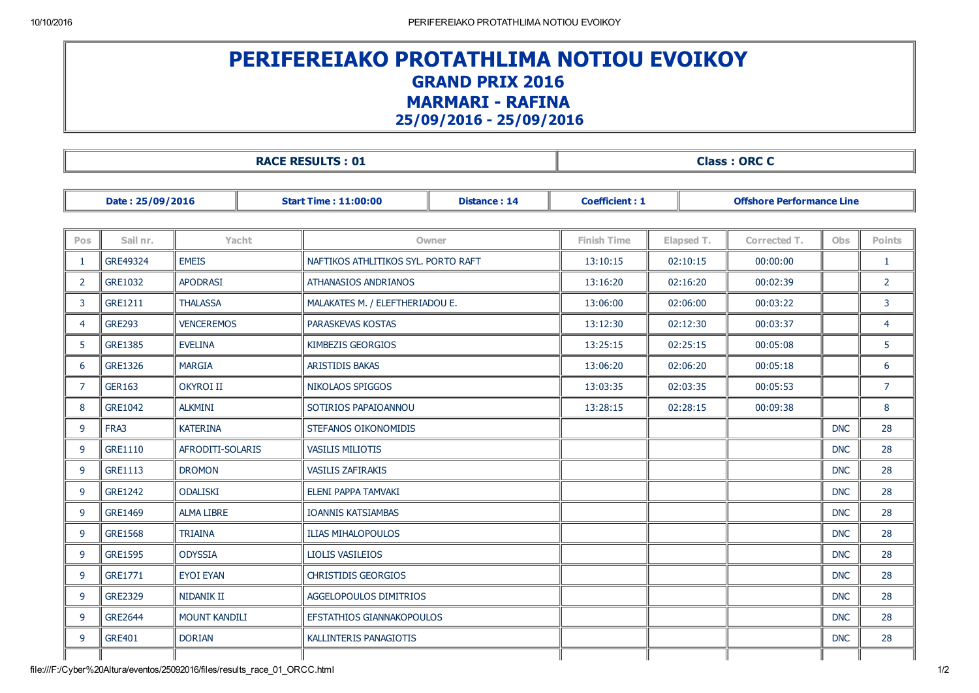## PERIFEREIAKO PROTATHLIMA NOTIOU EVOIKOY GRAND PRIX 2016 **MARMARI - RAFINA** 25/09/2016 25/09/2016

| <b>RACE RESULTS: 01</b> |                |                      |  |                                                                             |  | <b>Class: ORC C</b> |                                  |              |            |                |  |  |
|-------------------------|----------------|----------------------|--|-----------------------------------------------------------------------------|--|---------------------|----------------------------------|--------------|------------|----------------|--|--|
| Date: 25/09/2016        |                |                      |  | <b>Distance: 14</b><br><b>Coefficient: 1</b><br><b>Start Time: 11:00:00</b> |  |                     | <b>Offshore Performance Line</b> |              |            |                |  |  |
|                         |                |                      |  |                                                                             |  |                     |                                  |              |            |                |  |  |
| <b>Pos</b>              | Sail nr.       | Yacht                |  | Owner                                                                       |  | <b>Finish Time</b>  | Elapsed T.                       | Corrected T. | <b>Obs</b> | <b>Points</b>  |  |  |
| 1                       | GRE49324       | <b>EMEIS</b>         |  | NAFTIKOS ATHLITIKOS SYL, PORTO RAFT                                         |  | 13:10:15            | 02:10:15                         | 00:00:00     |            | $\mathbf{1}$   |  |  |
| $\overline{2}$          | GRE1032        | <b>APODRASI</b>      |  | <b>ATHANASIOS ANDRIANOS</b>                                                 |  | 13:16:20            | 02:16:20                         | 00:02:39     |            | $\overline{2}$ |  |  |
| 3                       | <b>GRE1211</b> | <b>THALASSA</b>      |  | MALAKATES M. / ELEFTHERIADOU E.                                             |  | 13:06:00            | 02:06:00                         | 00:03:22     |            | 3              |  |  |
| 4                       | <b>GRE293</b>  | <b>VENCEREMOS</b>    |  | PARASKEVAS KOSTAS                                                           |  | 13:12:30            | 02:12:30                         | 00:03:37     |            | 4              |  |  |
| 5                       | <b>GRE1385</b> | <b>EVELINA</b>       |  | KIMBEZIS GEORGIOS                                                           |  | 13:25:15            | 02:25:15                         | 00:05:08     |            | 5              |  |  |
| 6                       | <b>GRE1326</b> | <b>MARGIA</b>        |  | <b>ARISTIDIS BAKAS</b>                                                      |  | 13:06:20            | 02:06:20                         | 00:05:18     |            | 6              |  |  |
| 7                       | <b>GER163</b>  | <b>OKYROI II</b>     |  | <b>NIKOLAOS SPIGGOS</b>                                                     |  | 13:03:35            | 02:03:35                         | 00:05:53     |            | $\overline{7}$ |  |  |
| 8                       | GRE1042        | <b>ALKMINI</b>       |  | SOTIRIOS PAPAIOANNOU                                                        |  | 13:28:15            | 02:28:15                         | 00:09:38     |            | 8              |  |  |
| 9                       | FRA3           | <b>KATERINA</b>      |  | STEFANOS OIKONOMIDIS                                                        |  |                     |                                  |              | <b>DNC</b> | 28             |  |  |
| 9                       | GRE1110        | AFRODITI-SOLARIS     |  | <b>VASILIS MILIOTIS</b>                                                     |  |                     |                                  |              | <b>DNC</b> | 28             |  |  |
| 9                       | GRE1113        | <b>DROMON</b>        |  | <b>VASILIS ZAFIRAKIS</b>                                                    |  |                     |                                  |              | <b>DNC</b> | 28             |  |  |
| 9                       | GRE1242        | <b>ODALISKI</b>      |  | ELENI PAPPA TAMVAKI                                                         |  |                     |                                  |              | <b>DNC</b> | 28             |  |  |
| 9                       | GRE1469        | <b>ALMA LIBRE</b>    |  | <b>IOANNIS KATSIAMBAS</b>                                                   |  |                     |                                  |              | <b>DNC</b> | 28             |  |  |
| 9                       | <b>GRE1568</b> | <b>TRIAINA</b>       |  | <b>ILIAS MIHALOPOULOS</b>                                                   |  |                     |                                  |              | <b>DNC</b> | 28             |  |  |
| 9                       | <b>GRE1595</b> | <b>ODYSSIA</b>       |  | <b>LIOLIS VASILEIOS</b>                                                     |  |                     |                                  |              | <b>DNC</b> | 28             |  |  |
| 9                       | GRE1771        | <b>EYOI EYAN</b>     |  | <b>CHRISTIDIS GEORGIOS</b>                                                  |  |                     |                                  |              | <b>DNC</b> | 28             |  |  |
| 9                       | GRE2329        | NIDANIK II           |  | <b>AGGELOPOULOS DIMITRIOS</b>                                               |  |                     |                                  |              | <b>DNC</b> | 28             |  |  |
| 9                       | <b>GRE2644</b> | <b>MOUNT KANDILI</b> |  | EFSTATHIOS GIANNAKOPOULOS                                                   |  |                     |                                  |              | <b>DNC</b> | 28             |  |  |
| 9                       | <b>GRE401</b>  | <b>DORIAN</b>        |  | KALLINTERIS PANAGIOTIS                                                      |  |                     |                                  |              | <b>DNC</b> | 28             |  |  |
|                         |                |                      |  |                                                                             |  |                     |                                  |              |            |                |  |  |